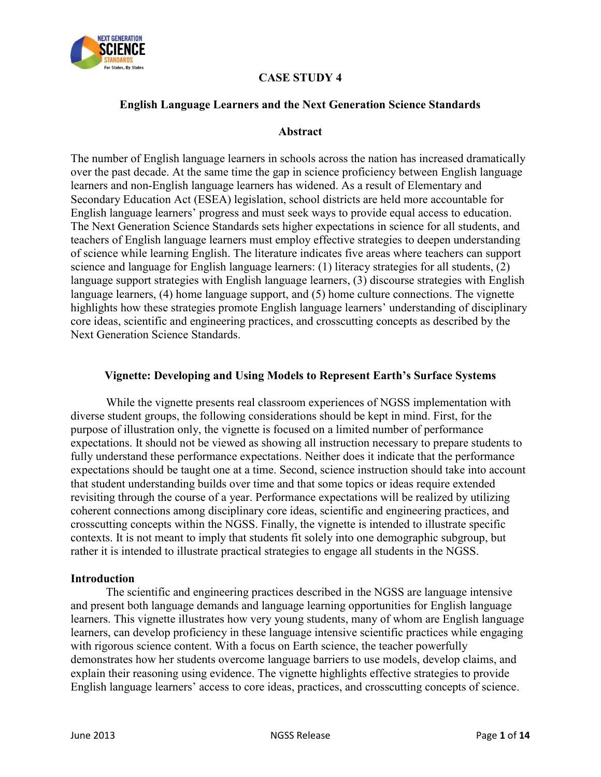

# **CASE STUDY 4**

#### **English Language Learners and the Next Generation Science Standards**

#### **Abstract**

The number of English language learners in schools across the nation has increased dramatically over the past decade. At the same time the gap in science proficiency between English language learners and non-English language learners has widened. As a result of Elementary and Secondary Education Act (ESEA) legislation, school districts are held more accountable for English language learners' progress and must seek ways to provide equal access to education. The Next Generation Science Standards sets higher expectations in science for all students, and teachers of English language learners must employ effective strategies to deepen understanding of science while learning English. The literature indicates five areas where teachers can support science and language for English language learners: (1) literacy strategies for all students, (2) language support strategies with English language learners, (3) discourse strategies with English language learners, (4) home language support, and (5) home culture connections. The vignette highlights how these strategies promote English language learners' understanding of disciplinary core ideas, scientific and engineering practices, and crosscutting concepts as described by the Next Generation Science Standards.

#### **Vignette: Developing and Using Models to Represent Earth's Surface Systems**

While the vignette presents real classroom experiences of NGSS implementation with diverse student groups, the following considerations should be kept in mind. First, for the purpose of illustration only, the vignette is focused on a limited number of performance expectations. It should not be viewed as showing all instruction necessary to prepare students to fully understand these performance expectations. Neither does it indicate that the performance expectations should be taught one at a time. Second, science instruction should take into account that student understanding builds over time and that some topics or ideas require extended revisiting through the course of a year. Performance expectations will be realized by utilizing coherent connections among disciplinary core ideas, scientific and engineering practices, and crosscutting concepts within the NGSS. Finally, the vignette is intended to illustrate specific contexts. It is not meant to imply that students fit solely into one demographic subgroup, but rather it is intended to illustrate practical strategies to engage all students in the NGSS.

#### **Introduction**

The scientific and engineering practices described in the NGSS are language intensive and present both language demands and language learning opportunities for English language learners. This vignette illustrates how very young students, many of whom are English language learners, can develop proficiency in these language intensive scientific practices while engaging with rigorous science content. With a focus on Earth science, the teacher powerfully demonstrates how her students overcome language barriers to use models, develop claims, and explain their reasoning using evidence. The vignette highlights effective strategies to provide English language learners' access to core ideas, practices, and crosscutting concepts of science.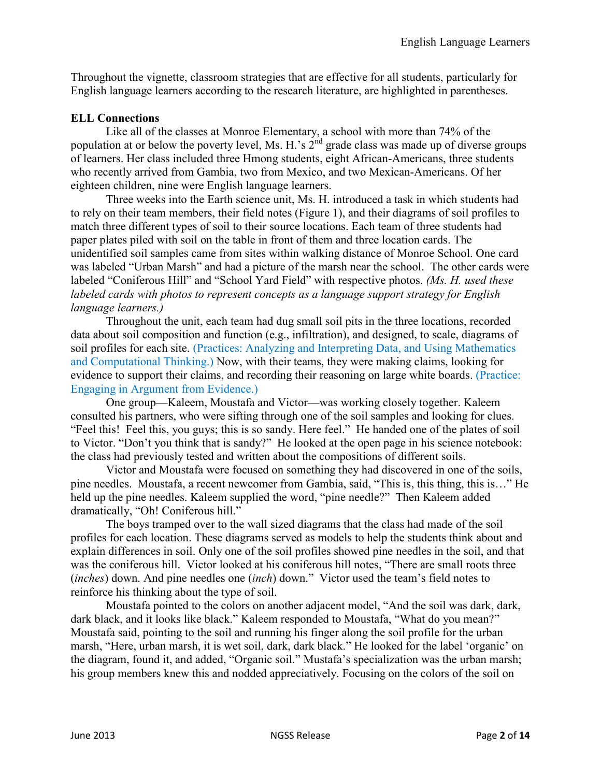Throughout the vignette, classroom strategies that are effective for all students, particularly for English language learners according to the research literature, are highlighted in parentheses.

## **ELL Connections**

Like all of the classes at Monroe Elementary, a school with more than 74% of the population at or below the poverty level, Ms. H.'s  $2^{nd}$  grade class was made up of diverse groups of learners. Her class included three Hmong students, eight African-Americans, three students who recently arrived from Gambia, two from Mexico, and two Mexican-Americans. Of her eighteen children, nine were English language learners.

Three weeks into the Earth science unit, Ms. H. introduced a task in which students had to rely on their team members, their field notes (Figure 1), and their diagrams of soil profiles to match three different types of soil to their source locations. Each team of three students had paper plates piled with soil on the table in front of them and three location cards. The unidentified soil samples came from sites within walking distance of Monroe School. One card was labeled "Urban Marsh" and had a picture of the marsh near the school. The other cards were labeled "Coniferous Hill" and "School Yard Field" with respective photos. *(Ms. H. used these labeled cards with photos to represent concepts as a language support strategy for English language learners.)* 

Throughout the unit, each team had dug small soil pits in the three locations, recorded data about soil composition and function (e.g., infiltration), and designed, to scale, diagrams of soil profiles for each site. (Practices: Analyzing and Interpreting Data, and Using Mathematics and Computational Thinking.) Now, with their teams, they were making claims, looking for evidence to support their claims, and recording their reasoning on large white boards. (Practice: Engaging in Argument from Evidence.)

One group—Kaleem, Moustafa and Victor—was working closely together. Kaleem consulted his partners, who were sifting through one of the soil samples and looking for clues. "Feel this! Feel this, you guys; this is so sandy. Here feel." He handed one of the plates of soil to Victor. "Don't you think that is sandy?" He looked at the open page in his science notebook: the class had previously tested and written about the compositions of different soils.

Victor and Moustafa were focused on something they had discovered in one of the soils, pine needles. Moustafa, a recent newcomer from Gambia, said, "This is, this thing, this is…" He held up the pine needles. Kaleem supplied the word, "pine needle?" Then Kaleem added dramatically, "Oh! Coniferous hill."

The boys tramped over to the wall sized diagrams that the class had made of the soil profiles for each location. These diagrams served as models to help the students think about and explain differences in soil. Only one of the soil profiles showed pine needles in the soil, and that was the coniferous hill. Victor looked at his coniferous hill notes, "There are small roots three (*inches*) down. And pine needles one (*inch*) down." Victor used the team's field notes to reinforce his thinking about the type of soil.

Moustafa pointed to the colors on another adjacent model, "And the soil was dark, dark, dark black, and it looks like black." Kaleem responded to Moustafa, "What do you mean?" Moustafa said, pointing to the soil and running his finger along the soil profile for the urban marsh, "Here, urban marsh, it is wet soil, dark, dark black." He looked for the label 'organic' on the diagram, found it, and added, "Organic soil." Mustafa's specialization was the urban marsh; his group members knew this and nodded appreciatively. Focusing on the colors of the soil on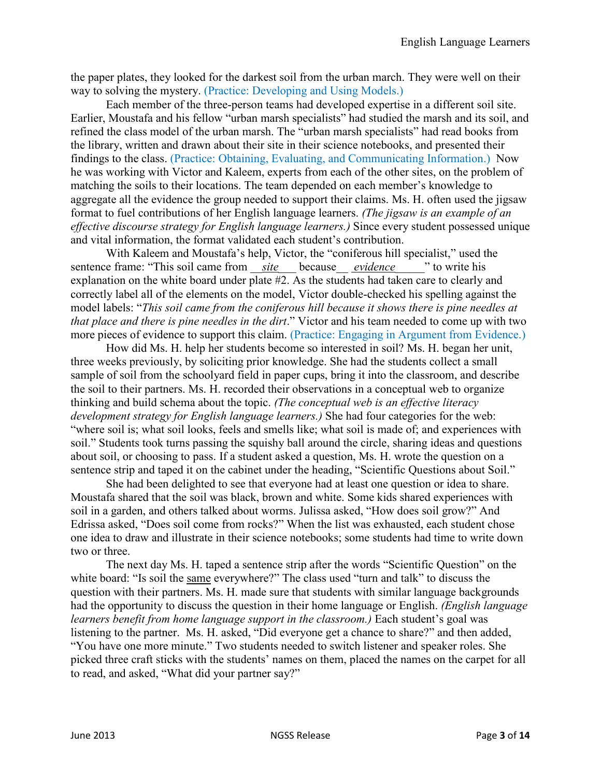the paper plates, they looked for the darkest soil from the urban march. They were well on their way to solving the mystery. (Practice: Developing and Using Models.)

Each member of the three-person teams had developed expertise in a different soil site. Earlier, Moustafa and his fellow "urban marsh specialists" had studied the marsh and its soil, and refined the class model of the urban marsh. The "urban marsh specialists" had read books from the library, written and drawn about their site in their science notebooks, and presented their findings to the class. (Practice: Obtaining, Evaluating, and Communicating Information.) Now he was working with Victor and Kaleem, experts from each of the other sites, on the problem of matching the soils to their locations. The team depended on each member's knowledge to aggregate all the evidence the group needed to support their claims. Ms. H. often used the jigsaw format to fuel contributions of her English language learners. *(The jigsaw is an example of an effective discourse strategy for English language learners.)* Since every student possessed unique and vital information, the format validated each student's contribution.

With Kaleem and Moustafa's help, Victor, the "coniferous hill specialist," used the sentence frame: "This soil came from *site* because *evidence* " to write his explanation on the white board under plate #2. As the students had taken care to clearly and correctly label all of the elements on the model, Victor double-checked his spelling against the model labels: "*This soil came from the coniferous hill because it shows there is pine needles at that place and there is pine needles in the dirt*." Victor and his team needed to come up with two more pieces of evidence to support this claim. (Practice: Engaging in Argument from Evidence.)

How did Ms. H. help her students become so interested in soil? Ms. H. began her unit, three weeks previously, by soliciting prior knowledge. She had the students collect a small sample of soil from the schoolyard field in paper cups, bring it into the classroom, and describe the soil to their partners. Ms. H. recorded their observations in a conceptual web to organize thinking and build schema about the topic. *(The conceptual web is an effective literacy development strategy for English language learners.)* She had four categories for the web: "where soil is; what soil looks, feels and smells like; what soil is made of; and experiences with soil." Students took turns passing the squishy ball around the circle, sharing ideas and questions about soil, or choosing to pass. If a student asked a question, Ms. H. wrote the question on a sentence strip and taped it on the cabinet under the heading, "Scientific Questions about Soil."

She had been delighted to see that everyone had at least one question or idea to share. Moustafa shared that the soil was black, brown and white. Some kids shared experiences with soil in a garden, and others talked about worms. Julissa asked, "How does soil grow?" And Edrissa asked, "Does soil come from rocks?" When the list was exhausted, each student chose one idea to draw and illustrate in their science notebooks; some students had time to write down two or three.

The next day Ms. H. taped a sentence strip after the words "Scientific Question" on the white board: "Is soil the same everywhere?" The class used "turn and talk" to discuss the question with their partners. Ms. H. made sure that students with similar language backgrounds had the opportunity to discuss the question in their home language or English. *(English language learners benefit from home language support in the classroom.)* Each student's goal was listening to the partner. Ms. H. asked, "Did everyone get a chance to share?" and then added, "You have one more minute." Two students needed to switch listener and speaker roles. She picked three craft sticks with the students' names on them, placed the names on the carpet for all to read, and asked, "What did your partner say?"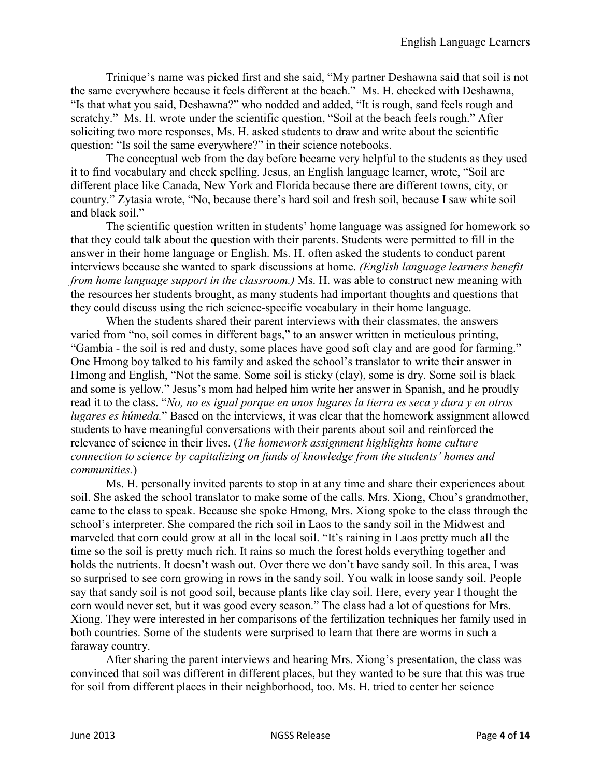Trinique's name was picked first and she said, "My partner Deshawna said that soil is not the same everywhere because it feels different at the beach." Ms. H. checked with Deshawna, "Is that what you said, Deshawna?" who nodded and added, "It is rough, sand feels rough and scratchy." Ms. H. wrote under the scientific question, "Soil at the beach feels rough." After soliciting two more responses, Ms. H. asked students to draw and write about the scientific question: "Is soil the same everywhere?" in their science notebooks.

The conceptual web from the day before became very helpful to the students as they used it to find vocabulary and check spelling. Jesus, an English language learner, wrote, "Soil are different place like Canada, New York and Florida because there are different towns, city, or country." Zytasia wrote, "No, because there's hard soil and fresh soil, because I saw white soil and black soil."

The scientific question written in students' home language was assigned for homework so that they could talk about the question with their parents. Students were permitted to fill in the answer in their home language or English. Ms. H. often asked the students to conduct parent interviews because she wanted to spark discussions at home. *(English language learners benefit from home language support in the classroom.)* Ms. H. was able to construct new meaning with the resources her students brought, as many students had important thoughts and questions that they could discuss using the rich science-specific vocabulary in their home language.

When the students shared their parent interviews with their classmates, the answers varied from "no, soil comes in different bags," to an answer written in meticulous printing, "Gambia - the soil is red and dusty, some places have good soft clay and are good for farming." One Hmong boy talked to his family and asked the school's translator to write their answer in Hmong and English, "Not the same. Some soil is sticky (clay), some is dry. Some soil is black and some is yellow." Jesus's mom had helped him write her answer in Spanish, and he proudly read it to the class. "*No, no es igual porque en unos lugares la tierra es seca y dura y en otros lugares es húmeda.*" Based on the interviews, it was clear that the homework assignment allowed students to have meaningful conversations with their parents about soil and reinforced the relevance of science in their lives. (*The homework assignment highlights home culture connection to science by capitalizing on funds of knowledge from the students' homes and communities.*)

Ms. H. personally invited parents to stop in at any time and share their experiences about soil. She asked the school translator to make some of the calls. Mrs. Xiong, Chou's grandmother, came to the class to speak. Because she spoke Hmong, Mrs. Xiong spoke to the class through the school's interpreter. She compared the rich soil in Laos to the sandy soil in the Midwest and marveled that corn could grow at all in the local soil. "It's raining in Laos pretty much all the time so the soil is pretty much rich. It rains so much the forest holds everything together and holds the nutrients. It doesn't wash out. Over there we don't have sandy soil. In this area, I was so surprised to see corn growing in rows in the sandy soil. You walk in loose sandy soil. People say that sandy soil is not good soil, because plants like clay soil. Here, every year I thought the corn would never set, but it was good every season." The class had a lot of questions for Mrs. Xiong. They were interested in her comparisons of the fertilization techniques her family used in both countries. Some of the students were surprised to learn that there are worms in such a faraway country.

After sharing the parent interviews and hearing Mrs. Xiong's presentation, the class was convinced that soil was different in different places, but they wanted to be sure that this was true for soil from different places in their neighborhood, too. Ms. H. tried to center her science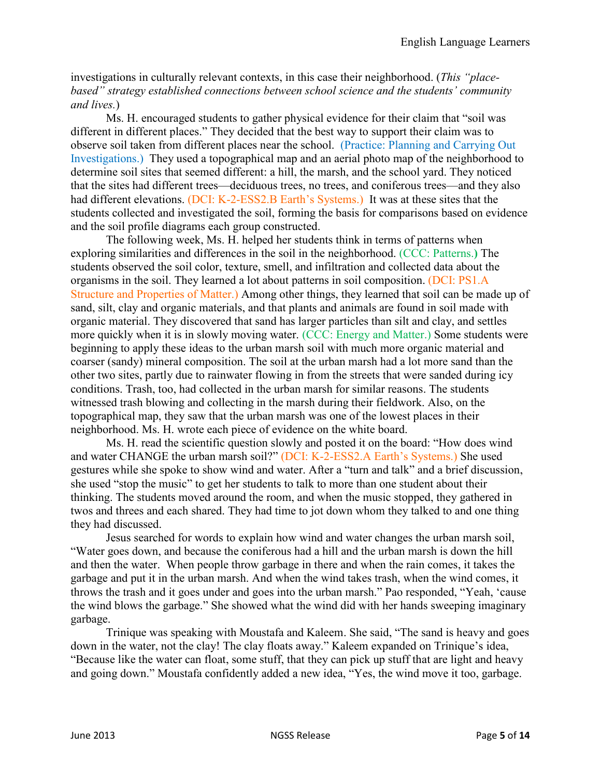investigations in culturally relevant contexts, in this case their neighborhood. (*This "placebased" strategy established connections between school science and the students' community and lives.*)

Ms. H. encouraged students to gather physical evidence for their claim that "soil was different in different places." They decided that the best way to support their claim was to observe soil taken from different places near the school. (Practice: Planning and Carrying Out Investigations.) They used a topographical map and an aerial photo map of the neighborhood to determine soil sites that seemed different: a hill, the marsh, and the school yard. They noticed that the sites had different trees—deciduous trees, no trees, and coniferous trees—and they also had different elevations. (DCI: K-2-ESS2.B Earth's Systems.) It was at these sites that the students collected and investigated the soil, forming the basis for comparisons based on evidence and the soil profile diagrams each group constructed.

The following week, Ms. H. helped her students think in terms of patterns when exploring similarities and differences in the soil in the neighborhood. (CCC: Patterns.**)** The students observed the soil color, texture, smell, and infiltration and collected data about the organisms in the soil. They learned a lot about patterns in soil composition. (DCI: PS1.A Structure and Properties of Matter.) Among other things, they learned that soil can be made up of sand, silt, clay and organic materials, and that plants and animals are found in soil made with organic material. They discovered that sand has larger particles than silt and clay, and settles more quickly when it is in slowly moving water. (CCC: Energy and Matter.) Some students were beginning to apply these ideas to the urban marsh soil with much more organic material and coarser (sandy) mineral composition. The soil at the urban marsh had a lot more sand than the other two sites, partly due to rainwater flowing in from the streets that were sanded during icy conditions. Trash, too, had collected in the urban marsh for similar reasons. The students witnessed trash blowing and collecting in the marsh during their fieldwork. Also, on the topographical map, they saw that the urban marsh was one of the lowest places in their neighborhood. Ms. H. wrote each piece of evidence on the white board.

Ms. H. read the scientific question slowly and posted it on the board: "How does wind and water CHANGE the urban marsh soil?" (DCI: K-2-ESS2.A Earth's Systems.) She used gestures while she spoke to show wind and water. After a "turn and talk" and a brief discussion, she used "stop the music" to get her students to talk to more than one student about their thinking. The students moved around the room, and when the music stopped, they gathered in twos and threes and each shared. They had time to jot down whom they talked to and one thing they had discussed.

Jesus searched for words to explain how wind and water changes the urban marsh soil, "Water goes down, and because the coniferous had a hill and the urban marsh is down the hill and then the water. When people throw garbage in there and when the rain comes, it takes the garbage and put it in the urban marsh. And when the wind takes trash, when the wind comes, it throws the trash and it goes under and goes into the urban marsh." Pao responded, "Yeah, 'cause the wind blows the garbage." She showed what the wind did with her hands sweeping imaginary garbage.

Trinique was speaking with Moustafa and Kaleem. She said, "The sand is heavy and goes down in the water, not the clay! The clay floats away." Kaleem expanded on Trinique's idea, "Because like the water can float, some stuff, that they can pick up stuff that are light and heavy and going down." Moustafa confidently added a new idea, "Yes, the wind move it too, garbage.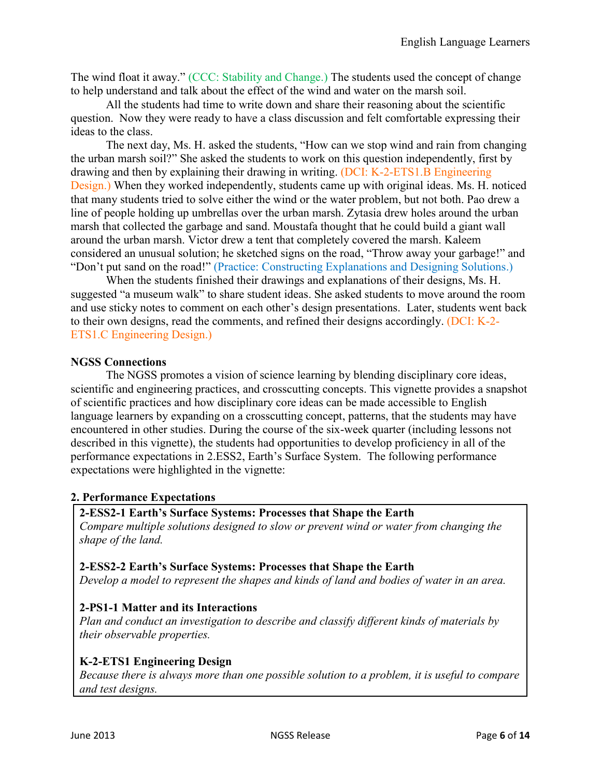The wind float it away." (CCC: Stability and Change.) The students used the concept of change to help understand and talk about the effect of the wind and water on the marsh soil.

All the students had time to write down and share their reasoning about the scientific question. Now they were ready to have a class discussion and felt comfortable expressing their ideas to the class.

The next day, Ms. H. asked the students, "How can we stop wind and rain from changing the urban marsh soil?" She asked the students to work on this question independently, first by drawing and then by explaining their drawing in writing. (DCI: K-2-ETS1.B Engineering Design.) When they worked independently, students came up with original ideas. Ms. H. noticed that many students tried to solve either the wind or the water problem, but not both. Pao drew a line of people holding up umbrellas over the urban marsh. Zytasia drew holes around the urban marsh that collected the garbage and sand. Moustafa thought that he could build a giant wall around the urban marsh. Victor drew a tent that completely covered the marsh. Kaleem considered an unusual solution; he sketched signs on the road, "Throw away your garbage!" and "Don't put sand on the road!" (Practice: Constructing Explanations and Designing Solutions.)

When the students finished their drawings and explanations of their designs, Ms. H. suggested "a museum walk" to share student ideas. She asked students to move around the room and use sticky notes to comment on each other's design presentations. Later, students went back to their own designs, read the comments, and refined their designs accordingly. (DCI: K-2- ETS1.C Engineering Design.)

#### **NGSS Connections**

The NGSS promotes a vision of science learning by blending disciplinary core ideas, scientific and engineering practices, and crosscutting concepts. This vignette provides a snapshot of scientific practices and how disciplinary core ideas can be made accessible to English language learners by expanding on a crosscutting concept, patterns, that the students may have encountered in other studies. During the course of the six-week quarter (including lessons not described in this vignette), the students had opportunities to develop proficiency in all of the performance expectations in 2.ESS2, Earth's Surface System. The following performance expectations were highlighted in the vignette:

## **2. Performance Expectations**

#### **2-ESS2-1 Earth's Surface Systems: Processes that Shape the Earth**

*Compare multiple solutions designed to slow or prevent wind or water from changing the shape of the land.* 

#### **2-ESS2-2 Earth's Surface Systems: Processes that Shape the Earth**

*Develop a model to represent the shapes and kinds of land and bodies of water in an area.* 

## **2-PS1-1 Matter and its Interactions**

*Plan and conduct an investigation to describe and classify different kinds of materials by their observable properties.* 

#### **K-2-ETS1 Engineering Design**

*Because there is always more than one possible solution to a problem, it is useful to compare and test designs.*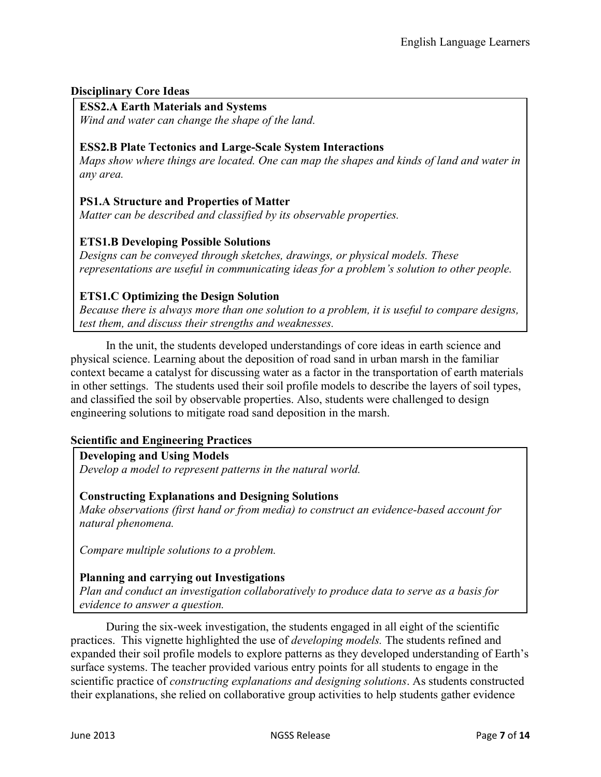## **Disciplinary Core Ideas**

## **ESS2.A Earth Materials and Systems**

*Wind and water can change the shape of the land.* 

## **ESS2.B Plate Tectonics and Large-Scale System Interactions**

*Maps show where things are located. One can map the shapes and kinds of land and water in any area.* 

## **PS1.A Structure and Properties of Matter**

*Matter can be described and classified by its observable properties.* 

# **ETS1.B Developing Possible Solutions**

*Designs can be conveyed through sketches, drawings, or physical models. These representations are useful in communicating ideas for a problem's solution to other people.* 

# **ETS1.C Optimizing the Design Solution**

*Because there is always more than one solution to a problem, it is useful to compare designs, test them, and discuss their strengths and weaknesses.* 

In the unit, the students developed understandings of core ideas in earth science and physical science. Learning about the deposition of road sand in urban marsh in the familiar context became a catalyst for discussing water as a factor in the transportation of earth materials in other settings. The students used their soil profile models to describe the layers of soil types, and classified the soil by observable properties. Also, students were challenged to design engineering solutions to mitigate road sand deposition in the marsh.

## **Scientific and Engineering Practices**

## **Developing and Using Models**

*Develop a model to represent patterns in the natural world.* 

## **Constructing Explanations and Designing Solutions**

*Make observations (first hand or from media) to construct an evidence-based account for natural phenomena.* 

*Compare multiple solutions to a problem.* 

## **Planning and carrying out Investigations**

*Plan and conduct an investigation collaboratively to produce data to serve as a basis for evidence to answer a question.* 

During the six-week investigation, the students engaged in all eight of the scientific practices. This vignette highlighted the use of *developing models.* The students refined and expanded their soil profile models to explore patterns as they developed understanding of Earth's surface systems. The teacher provided various entry points for all students to engage in the scientific practice of *constructing explanations and designing solutions*. As students constructed their explanations, she relied on collaborative group activities to help students gather evidence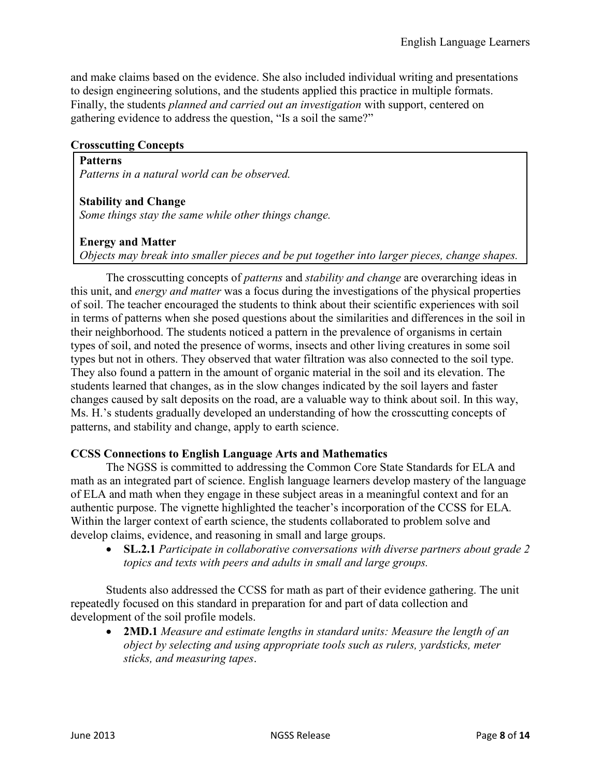and make claims based on the evidence. She also included individual writing and presentations to design engineering solutions, and the students applied this practice in multiple formats. Finally, the students *planned and carried out an investigation* with support, centered on gathering evidence to address the question, "Is a soil the same?"

#### **Crosscutting Concepts**

**Patterns**  *Patterns in a natural world can be observed.* 

**Stability and Change** 

*Some things stay the same while other things change.* 

#### **Energy and Matter**

*Objects may break into smaller pieces and be put together into larger pieces, change shapes.* 

The crosscutting concepts of *patterns* and *stability and change* are overarching ideas in this unit, and *energy and matter* was a focus during the investigations of the physical properties of soil. The teacher encouraged the students to think about their scientific experiences with soil in terms of patterns when she posed questions about the similarities and differences in the soil in their neighborhood. The students noticed a pattern in the prevalence of organisms in certain types of soil, and noted the presence of worms, insects and other living creatures in some soil types but not in others. They observed that water filtration was also connected to the soil type. They also found a pattern in the amount of organic material in the soil and its elevation. The students learned that changes, as in the slow changes indicated by the soil layers and faster changes caused by salt deposits on the road, are a valuable way to think about soil. In this way, Ms. H.'s students gradually developed an understanding of how the crosscutting concepts of patterns, and stability and change, apply to earth science.

#### **CCSS Connections to English Language Arts and Mathematics**

The NGSS is committed to addressing the Common Core State Standards for ELA and math as an integrated part of science. English language learners develop mastery of the language of ELA and math when they engage in these subject areas in a meaningful context and for an authentic purpose. The vignette highlighted the teacher's incorporation of the CCSS for ELA*.* Within the larger context of earth science, the students collaborated to problem solve and develop claims, evidence, and reasoning in small and large groups.

 **SL.2.1** *Participate in collaborative conversations with diverse partners about grade 2 topics and texts with peers and adults in small and large groups.*

Students also addressed the CCSS for math as part of their evidence gathering. The unit repeatedly focused on this standard in preparation for and part of data collection and development of the soil profile models.

 **2MD.1** *Measure and estimate lengths in standard units: Measure the length of an object by selecting and using appropriate tools such as rulers, yardsticks, meter sticks, and measuring tapes*.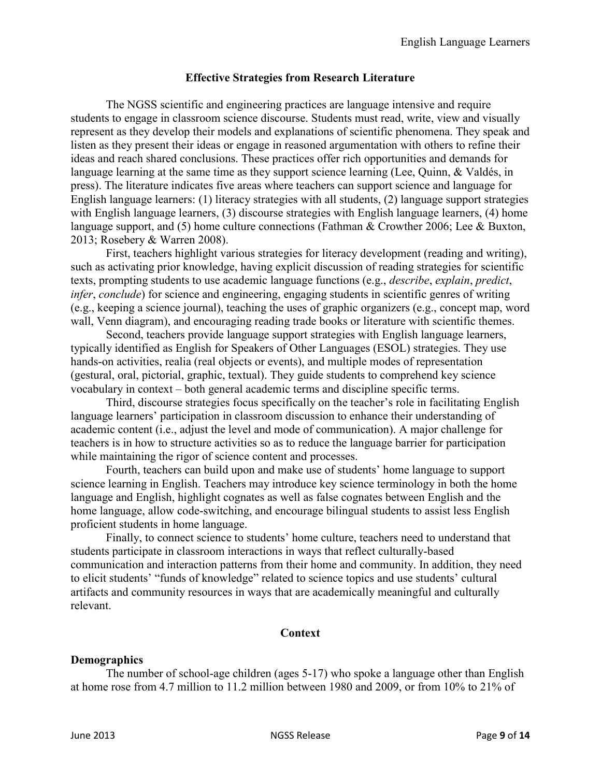#### **Effective Strategies from Research Literature**

The NGSS scientific and engineering practices are language intensive and require students to engage in classroom science discourse. Students must read, write, view and visually represent as they develop their models and explanations of scientific phenomena. They speak and listen as they present their ideas or engage in reasoned argumentation with others to refine their ideas and reach shared conclusions. These practices offer rich opportunities and demands for language learning at the same time as they support science learning (Lee, Quinn, & Valdés, in press). The literature indicates five areas where teachers can support science and language for English language learners: (1) literacy strategies with all students, (2) language support strategies with English language learners, (3) discourse strategies with English language learners, (4) home language support, and (5) home culture connections (Fathman & Crowther 2006; Lee & Buxton, 2013; Rosebery & Warren 2008).

First, teachers highlight various strategies for literacy development (reading and writing), such as activating prior knowledge, having explicit discussion of reading strategies for scientific texts, prompting students to use academic language functions (e.g., *describe*, *explain*, *predict*, *infer*, *conclude*) for science and engineering, engaging students in scientific genres of writing (e.g., keeping a science journal), teaching the uses of graphic organizers (e.g., concept map, word wall, Venn diagram), and encouraging reading trade books or literature with scientific themes.

Second, teachers provide language support strategies with English language learners, typically identified as English for Speakers of Other Languages (ESOL) strategies. They use hands-on activities, realia (real objects or events), and multiple modes of representation (gestural, oral, pictorial, graphic, textual). They guide students to comprehend key science vocabulary in context – both general academic terms and discipline specific terms.

Third, discourse strategies focus specifically on the teacher's role in facilitating English language learners' participation in classroom discussion to enhance their understanding of academic content (i.e., adjust the level and mode of communication). A major challenge for teachers is in how to structure activities so as to reduce the language barrier for participation while maintaining the rigor of science content and processes.

Fourth, teachers can build upon and make use of students' home language to support science learning in English. Teachers may introduce key science terminology in both the home language and English, highlight cognates as well as false cognates between English and the home language, allow code-switching, and encourage bilingual students to assist less English proficient students in home language.

Finally, to connect science to students' home culture, teachers need to understand that students participate in classroom interactions in ways that reflect culturally-based communication and interaction patterns from their home and community. In addition, they need to elicit students' "funds of knowledge" related to science topics and use students' cultural artifacts and community resources in ways that are academically meaningful and culturally relevant.

#### **Context**

#### **Demographics**

The number of school-age children (ages 5-17) who spoke a language other than English at home rose from 4.7 million to 11.2 million between 1980 and 2009, or from 10% to 21% of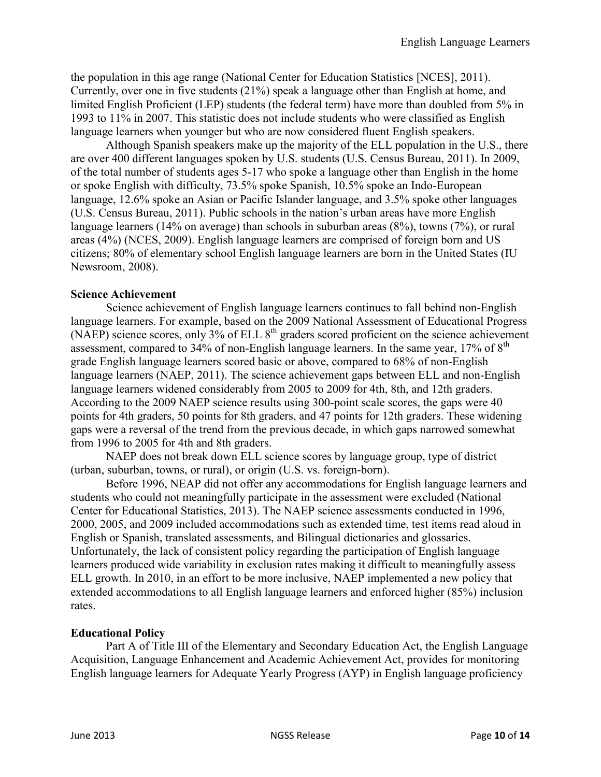the population in this age range (National Center for Education Statistics [NCES], 2011). Currently, over one in five students (21%) speak a language other than English at home, and limited English Proficient (LEP) students (the federal term) have more than doubled from 5% in 1993 to 11% in 2007. This statistic does not include students who were classified as English language learners when younger but who are now considered fluent English speakers.

Although Spanish speakers make up the majority of the ELL population in the U.S., there are over 400 different languages spoken by U.S. students (U.S. Census Bureau, 2011). In 2009, of the total number of students ages 5-17 who spoke a language other than English in the home or spoke English with difficulty, 73.5% spoke Spanish, 10.5% spoke an Indo-European language, 12.6% spoke an Asian or Pacific Islander language, and 3.5% spoke other languages (U.S. Census Bureau, 2011). Public schools in the nation's urban areas have more English language learners (14% on average) than schools in suburban areas (8%), towns (7%), or rural areas (4%) (NCES, 2009). English language learners are comprised of foreign born and US citizens; 80% of elementary school English language learners are born in the United States (IU Newsroom, 2008).

#### **Science Achievement**

Science achievement of English language learners continues to fall behind non-English language learners. For example, based on the 2009 National Assessment of Educational Progress (NAEP) science scores, only  $3\%$  of ELL  $8<sup>th</sup>$  graders scored proficient on the science achievement assessment, compared to  $34\%$  of non-English language learners. In the same year,  $17\%$  of  $8<sup>th</sup>$ grade English language learners scored basic or above, compared to 68% of non-English language learners (NAEP, 2011). The science achievement gaps between ELL and non-English language learners widened considerably from 2005 to 2009 for 4th, 8th, and 12th graders. According to the 2009 NAEP science results using 300-point scale scores, the gaps were 40 points for 4th graders, 50 points for 8th graders, and 47 points for 12th graders. These widening gaps were a reversal of the trend from the previous decade, in which gaps narrowed somewhat from 1996 to 2005 for 4th and 8th graders.

NAEP does not break down ELL science scores by language group, type of district (urban, suburban, towns, or rural), or origin (U.S. vs. foreign-born).

Before 1996, NEAP did not offer any accommodations for English language learners and students who could not meaningfully participate in the assessment were excluded (National Center for Educational Statistics, 2013). The NAEP science assessments conducted in 1996, 2000, 2005, and 2009 included accommodations such as extended time, test items read aloud in English or Spanish, translated assessments, and Bilingual dictionaries and glossaries. Unfortunately, the lack of consistent policy regarding the participation of English language learners produced wide variability in exclusion rates making it difficult to meaningfully assess ELL growth. In 2010, in an effort to be more inclusive, NAEP implemented a new policy that extended accommodations to all English language learners and enforced higher (85%) inclusion rates.

#### **Educational Policy**

Part A of Title III of the Elementary and Secondary Education Act, the English Language Acquisition, Language Enhancement and Academic Achievement Act, provides for monitoring English language learners for Adequate Yearly Progress (AYP) in English language proficiency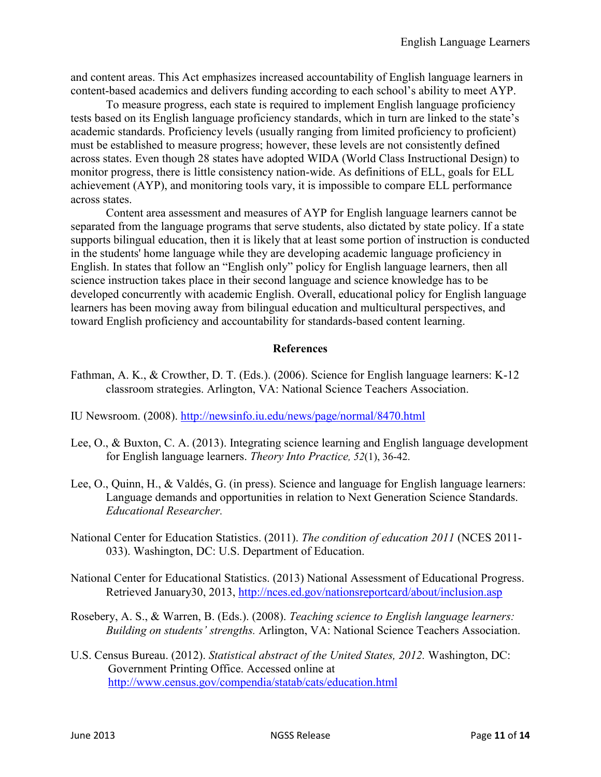and content areas. This Act emphasizes increased accountability of English language learners in content-based academics and delivers funding according to each school's ability to meet AYP.

To measure progress, each state is required to implement English language proficiency tests based on its English language proficiency standards, which in turn are linked to the state's academic standards. Proficiency levels (usually ranging from limited proficiency to proficient) must be established to measure progress; however, these levels are not consistently defined across states. Even though 28 states have adopted WIDA (World Class Instructional Design) to monitor progress, there is little consistency nation-wide. As definitions of ELL, goals for ELL achievement (AYP), and monitoring tools vary, it is impossible to compare ELL performance across states.

Content area assessment and measures of AYP for English language learners cannot be separated from the language programs that serve students, also dictated by state policy. If a state supports bilingual education, then it is likely that at least some portion of instruction is conducted in the students' home language while they are developing academic language proficiency in English. In states that follow an "English only" policy for English language learners, then all science instruction takes place in their second language and science knowledge has to be developed concurrently with academic English. Overall, educational policy for English language learners has been moving away from bilingual education and multicultural perspectives, and toward English proficiency and accountability for standards-based content learning.

#### **References**

- Fathman, A. K., & Crowther, D. T. (Eds.). (2006). Science for English language learners: K-12 classroom strategies. Arlington, VA: National Science Teachers Association.
- IU Newsroom. (2008).<http://newsinfo.iu.edu/news/page/normal/8470.html>
- Lee, O., & Buxton, C. A. (2013). Integrating science learning and English language development for English language learners. *Theory Into Practice, 52*(1), 36-42.
- Lee, O., Quinn, H., & Valdés, G. (in press). Science and language for English language learners: Language demands and opportunities in relation to Next Generation Science Standards. *Educational Researcher.*
- National Center for Education Statistics. (2011). *The condition of education 2011* (NCES 2011- 033). Washington, DC: U.S. Department of Education.
- National Center for Educational Statistics. (2013) National Assessment of Educational Progress. Retrieved January30, 2013,<http://nces.ed.gov/nationsreportcard/about/inclusion.asp>
- Rosebery, A. S., & Warren, B. (Eds.). (2008). *Teaching science to English language learners: Building on students' strengths.* Arlington, VA: National Science Teachers Association.
- U.S. Census Bureau. (2012). *Statistical abstract of the United States, 2012.* Washington, DC: Government Printing Office. Accessed online at <http://www.census.gov/compendia/statab/cats/education.html>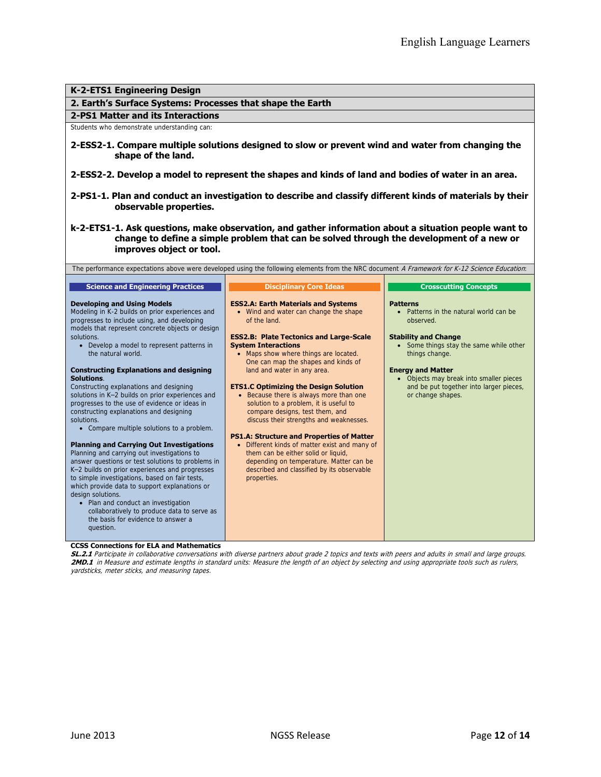#### **K-2-ETS1 Engineering Design 2. Earth's Surface Systems: Processes that shape the Earth 2-PS1 Matter and its Interactions** Students who demonstrate understanding can: **2-ESS2-1. Compare multiple solutions designed to slow or prevent wind and water from changing the shape of the land. 2-ESS2-2. Develop a model to represent the shapes and kinds of land and bodies of water in an area. 2-PS1-1. Plan and conduct an investigation to describe and classify different kinds of materials by their observable properties. k-2-ETS1-1. Ask questions, make observation, and gather information about a situation people want to change to define a simple problem that can be solved through the development of a new or improves object or tool.** The performance expectations above were developed using the following elements from the NRC document A Framework for K-12 Science Education: **Science and Engineering Practices Developing and Using Models** Modeling in K-2 builds on prior experiences and progresses to include using, and developing models that represent concrete objects or design solutions. Develop a model to represent patterns in the natural world. **Constructing Explanations and designing Solutions**. Constructing explanations and designing solutions in K–2 builds on prior experiences and progresses to the use of evidence or ideas in constructing explanations and designing solutions. Compare multiple solutions to a problem. **Planning and Carrying Out Investigations** Planning and carrying out investigations to answer questions or test solutions to problems in K–2 builds on prior experiences and progresses to simple investigations, based on fair tests, which provide data to support explanations or design solutions. • Plan and conduct an investigation collaboratively to produce data to serve as the basis for evidence to answer a question. **Disciplinary Core Ideas ESS2.A: Earth Materials and Systems** • Wind and water can change the shape of the land. **ESS2.B: Plate Tectonics and Large-Scale System Interactions** • Maps show where things are located. One can map the shapes and kinds of land and water in any area. **ETS1.C Optimizing the Design Solution** • Because there is always more than one solution to a problem, it is useful to compare designs, test them, and discuss their strengths and weaknesses. **PS1.A: Structure and Properties of Matter**  Different kinds of matter exist and many of them can be either solid or liquid, depending on temperature. Matter can be described and classified by its observable properties. **Crosscutting Concepts Patterns •** Patterns in the natural world can be observed. **Stability and Change** • Some things stay the same while other things change. **Energy and Matter** Objects may break into smaller pieces and be put together into larger pieces or change shapes.

#### **CCSS Connections for ELA and Mathematics**

**SL.2.1** Participate in collaborative conversations with diverse partners about grade 2 topics and texts with peers and adults in small and large groups. **2MD.1** in Measure and estimate lengths in standard units: Measure the length of an object by selecting and using appropriate tools such as rulers, yardsticks, meter sticks, and measuring tapes.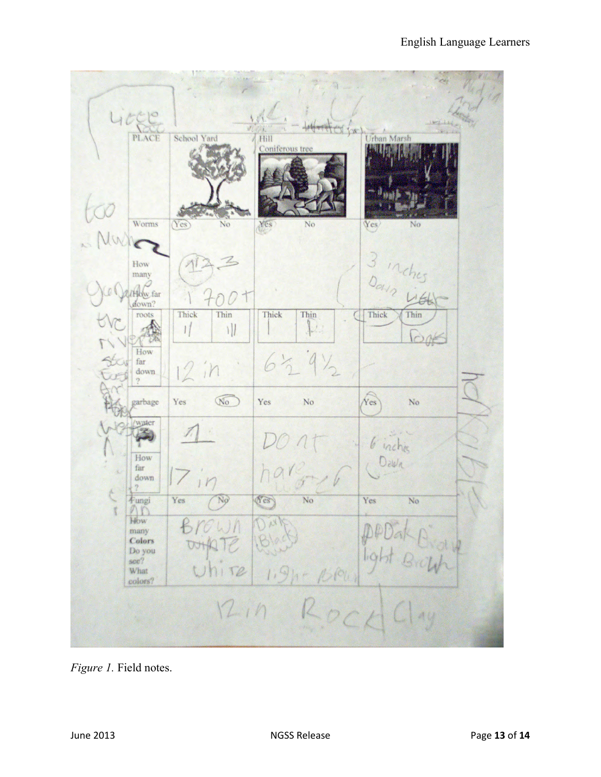| LICER                    |                        | Hit of the              |                    |
|--------------------------|------------------------|-------------------------|--------------------|
| <b>PLACE</b>             | School Yard            | Hill<br>Coniferous tree | <b>Urban Marsh</b> |
|                          |                        |                         |                    |
|                          |                        |                         |                    |
|                          |                        |                         |                    |
| Worms                    | Yes<br>No              | No<br>YEs               | Yes/<br>Nο         |
| Nach                     |                        |                         |                    |
| How                      |                        |                         |                    |
| many                     |                        |                         |                    |
| /How far<br>down?        |                        |                         | 3 inches           |
| roots                    | Thick<br>Thin          | Thick<br>Thin           | Thick<br>Thin      |
|                          |                        | 2                       |                    |
| How<br>$_{\mathrm{far}}$ |                        | $63.9\%$                |                    |
| down                     | 12in                   |                         |                    |
| garbage                  | $\sqrt{\infty}$<br>Yes | Yes<br>No               | Yes<br>No          |
| water                    |                        |                         |                    |
|                          |                        |                         | 6 inchies          |
| How<br>far               |                        |                         | Dawn               |
| down                     | n                      |                         |                    |
| Fungi                    | Yes<br>No              | Yes<br>No               | Yes<br>No          |
| $\Omega$<br>How          | $B$ rown               |                         |                    |
| many<br>Colors           | WHATE                  |                         | $p_{\rho}$         |
| Do you<br>see?           | Uhire                  |                         | Brown              |
| What<br>colors?          |                        | $1.9h - 1001$           |                    |
| 12.19                    |                        |                         |                    |
| Rock<br>Alf              |                        |                         |                    |
|                          |                        |                         |                    |

*Figure 1.* Field notes.